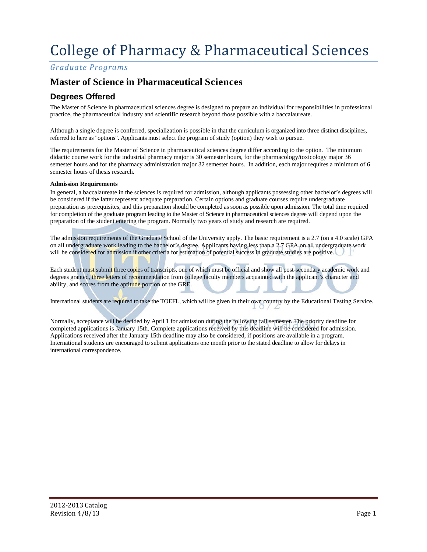# College of Pharmacy & Pharmaceutical Sciences

*Graduate Programs*

# **Master of Science in Pharmaceutical Sciences**

## **Degrees Offered**

The Master of Science in pharmaceutical sciences degree is designed to prepare an individual for responsibilities in professional practice, the pharmaceutical industry and scientific research beyond those possible with a baccalaureate.

Although a single degree is conferred, specialization is possible in that the curriculum is organized into three distinct disciplines, referred to here as "options". Applicants must select the program of study (option) they wish to pursue.

The requirements for the Master of Science in pharmaceutical sciences degree differ according to the option. The minimum didactic course work for the industrial pharmacy major is 30 semester hours, for the pharmacology/toxicology major 36 semester hours and for the pharmacy administration major 32 semester hours. In addition, each major requires a minimum of 6 semester hours of thesis research.

#### **Admission Requirements**

In general, a baccalaureate in the sciences is required for admission, although applicants possessing other bachelor's degrees will be considered if the latter represent adequate preparation. Certain options and graduate courses require undergraduate preparation as prerequisites, and this preparation should be completed as soon as possible upon admission. The total time required for completion of the graduate program leading to the Master of Science in pharmaceutical sciences degree will depend upon the preparation of the student entering the program. Normally two years of study and research are required.

The admission requirements of the Graduate School of the University apply. The basic requirement is a 2.7 (on a 4.0 scale) GPA on all undergraduate work leading to the bachelor's degree. Applicants having less than a 2.7 GPA on all undergraduate work will be considered for admission if other criteria for estimation of potential success in graduate studies are positive.

Each student must submit three copies of transcripts, one of which must be official and show all post-secondary academic work and degrees granted, three letters of recommendation from college faculty members acquainted with the applicant's character and ability, and scores from the aptitude portion of the GRE.

International students are required to take the TOEFL, which will be given in their own country by the Educational Testing Service.

Normally, acceptance will be decided by April 1 for admission during the following fall semester. The priority deadline for completed applications is January 15th. Complete applications received by this deadline will be considered for admission. Applications received after the January 15th deadline may also be considered, if positions are available in a program. International students are encouraged to submit applications one month prior to the stated deadline to allow for delays in international correspondence.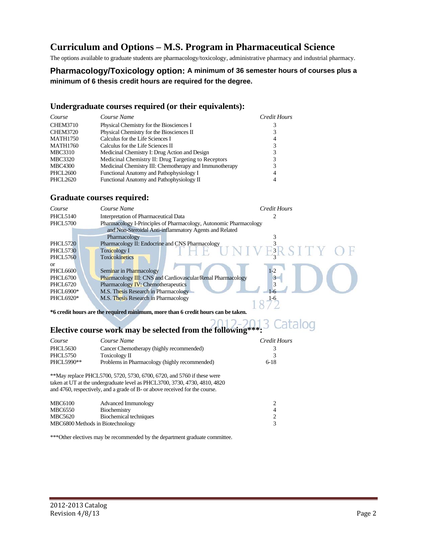# **Curriculum and Options – M.S. Program in Pharmaceutical Science**

The options available to graduate students are pharmacology/toxicology, administrative pharmacy and industrial pharmacy.

### **Pharmacology/Toxicology option: A minimum of 36 semester hours of courses plus a minimum of 6 thesis credit hours are required for the degree.**

#### **Undergraduate courses required (or their equivalents):**

| Course          | Course Name                                             | Credit Hours |
|-----------------|---------------------------------------------------------|--------------|
| <b>CHEM3710</b> | Physical Chemistry for the Biosciences I                |              |
| <b>CHEM3720</b> | Physical Chemistry for the Biosciences II               |              |
| <b>MATH1750</b> | Calculus for the Life Sciences I                        | 4            |
| <b>MATH1760</b> | Calculus for the Life Sciences II                       |              |
| MBC3310         | Medicinal Chemistry I: Drug Action and Design           |              |
| <b>MBC3320</b>  | Medicinal Chemistry II: Drug Targeting to Receptors     |              |
| <b>MBC4300</b>  | Medicinal Chemistry III: Chemotherapy and Immunotherapy |              |
| PHCL2600        | Functional Anatomy and Pathophysiology I                | 4            |
| <b>PHCL2620</b> | Functional Anatomy and Pathophysiology II               |              |

### **Graduate courses required:**

| Course          | Course Name                                                        | <b>Credit Hours</b> |
|-----------------|--------------------------------------------------------------------|---------------------|
| PHCL5140        | Interpretation of Pharmaceutical Data                              |                     |
| <b>PHCL5700</b> | Pharmacology I-Principles of Pharmacology, Autonomic Pharmacology  |                     |
|                 | and Non-Steroidal Anti-inflammatory Agents and Related             |                     |
|                 | Pharmacology                                                       |                     |
| <b>PHCL5720</b> | Pharmacology II: Endocrine and CNS Pharmacology                    |                     |
| <b>PHCL5730</b> | <b>Toxicology I</b>                                                | <b>NIVERSITY</b>    |
| PHCL5760        | <b>Toxicokinetics</b>                                              |                     |
| $\alpha$        |                                                                    |                     |
| PHCL6600        | Seminar in Pharmacology                                            | $1-2$               |
| PHCL6700        | <b>Pharmacology III: CNS and Cardiovascular/Renal Pharmacology</b> |                     |
| <b>PHCL6720</b> | Pharmacology <b>IV</b> : Chemotherapeutics                         | 3                   |
| PHCL6900*       | M.S. Thesis Research in Pharmacology                               |                     |
| PHCL6920*       | M.S. Thesis Research in Pharmacology                               |                     |
|                 |                                                                    |                     |

**\*6 credit hours are the required minimum, more than 6 credit hours can be taken.** 

# **Elective course work may be selected from the following\*\*\*:**

| Course                                                      | Credit Hours<br>Course Name                                             |        |
|-------------------------------------------------------------|-------------------------------------------------------------------------|--------|
| <b>PHCL5630</b>                                             | Cancer Chemotherapy (highly recommended)                                |        |
| <b>PHCL5750</b>                                             | Toxicology II                                                           |        |
| PHCL5990**<br>Problems in Pharmacology (highly recommended) |                                                                         | $6-18$ |
|                                                             | **May replace PHCL 5700, 5720, 5730, 6700, 6720, and 5760 if these were |        |

\*\*May replace PHCL5700, 5720, 5730, 6700, 6720, and 5760 if these were taken at UT at the undergraduate level as PHCL3700, 3730, 4730, 4810, 4820 and 4760, respectively, and a grade of B- or above received for the course.

| <b>MBC6100</b>                   | Advanced Immunology    |   |
|----------------------------------|------------------------|---|
| <b>MBC6550</b>                   | Biochemistry           | 4 |
| MBC5620                          | Biochemical techniques |   |
| MBC6800 Methods in Biotechnology |                        |   |

\*\*\*Other electives may be recommended by the department graduate committee.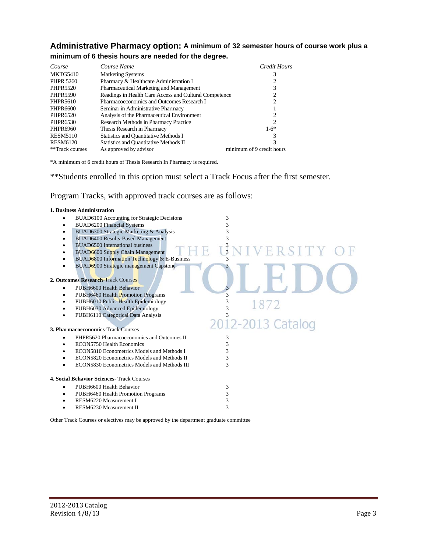## **Administrative Pharmacy option: A minimum of 32 semester hours of course work plus a minimum of 6 thesis hours are needed for the degree.**

| Course           | Course Name<br>Credit Hours                            |                           |
|------------------|--------------------------------------------------------|---------------------------|
| MKTG5410         | <b>Marketing Systems</b>                               | 3                         |
| <b>PHPR 5260</b> | Pharmacy & Healthcare Administration I                 |                           |
| <b>PHPR5520</b>  | Pharmaceutical Marketing and Management                | 3                         |
| <b>PHPR5590</b>  | Readings in Health Care Access and Cultural Competence | 2                         |
| <b>PHPR5610</b>  | Pharmacoeconomics and Outcomes Research I<br>2         |                           |
| <b>PHPR6600</b>  | Seminar in Administrative Pharmacy                     |                           |
| PHPR6520         | Analysis of the Pharmaceutical Environment<br>2        |                           |
| PHPR6530         | Research Methods in Pharmacy Practice                  | 2                         |
| PHPR6960         | Thesis Research in Pharmacy                            | $1-6*$                    |
| <b>RESM5110</b>  | Statistics and Quantitative Methods I                  | 3                         |
| <b>RESM6120</b>  | Statistics and Quantitative Methods II                 | 3                         |
| **Track courses  | As approved by advisor                                 | minimum of 9 credit hours |

\*A minimum of 6 credit hours of Thesis Research In Pharmacy is required.

\*\*Students enrolled in this option must select a Track Focus after the first semester.

### Program Tracks, with approved track courses are as follows:

#### **1. Business Administration**

| BUAD6100 Accounting for Strategic Decisions       | 3                  |
|---------------------------------------------------|--------------------|
| <b>BUAD6200 Financial Systems</b><br>٠            | 3                  |
| BUAD6300 Strategic Marketing & Analysis<br>٠      | 3                  |
| <b>BUAD6400 Results-Based Management</b><br>٠     | 3                  |
| BUAD6500 International business<br>٠              |                    |
| <b>BUAD6600 Supply Chain Management</b><br>٠      | MIVERSITY O        |
| BUAD6800 Information Technology & E-Business      |                    |
| <b>BUAD6900 Strategic management Capstone</b>     |                    |
|                                                   |                    |
| 2. Outcomes Research-Track Courses                |                    |
| PUBH6600 Health Behavior<br>٠                     |                    |
| PUBH6460 Health Promotion Programs<br>٠           |                    |
| PUBH6010 Public Health Epidemiology               | 3<br>1872          |
| PUBH6030 Advanced Epidemiology<br>٠               | 3                  |
| PUBH6110 Categorical Data Analysis                |                    |
|                                                   | 2012-2013 Catalog  |
| 3. Pharmacoeconomics-Track Courses                |                    |
| PHPR5620 Pharmacoeconomics and Outcomes II<br>٠   | 3                  |
| ECON5750 Health Economics                         | 3                  |
| ECON5810 Econometrics Models and Methods I        | 3                  |
| ECON5820 Econometrics Models and Methods II       | 3                  |
| ECON5830 Econometrics Models and Methods III      | 3                  |
| <b>4. Social Behavior Sciences- Track Courses</b> |                    |
|                                                   |                    |
| PUBH6600 Health Behavior<br>٠                     | 3                  |
| PUBH6460 Health Promotion Programs<br>٠           | 3                  |
| RESM6220 Measurement I                            | 3<br>$\mathcal{R}$ |
| RESM6230 Measurement II                           |                    |
|                                                   |                    |

Other Track Courses or electives may be approved by the department graduate committee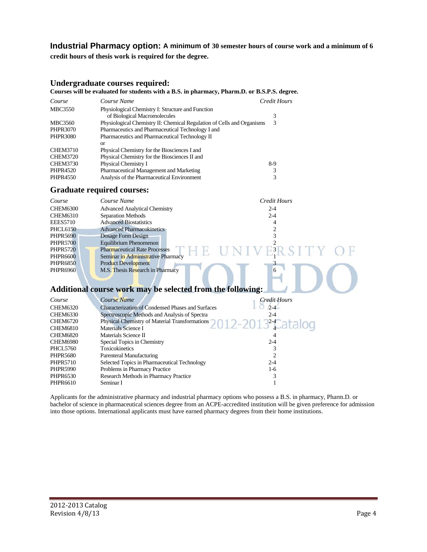#### **Industrial Pharmacy option: A minimum of 30 semester hours of course work and a minimum of 6**

**credit hours of thesis work is required for the degree.**

#### **Undergraduate courses required:**

#### **Courses will be evaluated for students with a B.S. in pharmacy, Pharm.D. or B.S.P.S. degree.**

| Course          | Course Name                                                            | Credit Hours |
|-----------------|------------------------------------------------------------------------|--------------|
| <b>MBC3550</b>  | Physiological Chemistry I: Structure and Function                      |              |
|                 | of Biological Macromolecules                                           |              |
| MBC3560         | Physiological Chemistry II: Chemical Regulation of Cells and Organisms | 3            |
| PHPR3070        | Pharmaceutics and Pharmaceutical Technology I and                      |              |
| <b>PHPR3080</b> | Pharmaceutics and Pharmaceutical Technology II                         |              |
|                 | or                                                                     |              |
| <b>CHEM3710</b> | Physical Chemistry for the Biosciences I and                           |              |
| <b>CHEM3720</b> | Physical Chemistry for the Biosciences II and                          |              |
| <b>CHEM3730</b> | Physical Chemistry I                                                   | 8-9          |
| PHPR4520        | Pharmaceutical Management and Marketing                                | 3            |
| PHPR4550        | Analysis of the Pharmaceutical Environment                             |              |

#### **Graduate required courses:**

| Course          | Course Name                          | Credit Hours |
|-----------------|--------------------------------------|--------------|
| <b>CHEM6300</b> | <b>Advanced Analytical Chemistry</b> | $2 - 4$      |
| <b>CHEM6310</b> | Separation Methods                   | $2 - 4$      |
| <b>EEES5710</b> | <b>Advanced Biostatistics</b>        | 4            |
| <b>PHCL6150</b> | <b>Advanced Pharmacokinetics</b>     |              |
| <b>PHPR5690</b> | Dosage Form Design                   | 3            |
| <b>PHPR5700</b> | Equilibrium Phenomenon               |              |
| <b>PHPR5720</b> | <b>Pharmaceutical Rate Processes</b> | $H_3$        |
| <b>PHPR6600</b> | Seminar in Administrative Pharmacy   |              |
| <b>PHPR6850</b> | <b>Product Development</b>           |              |
| <b>PHPR6960</b> | M.S. Thesis Research in Pharmacy     | 6            |
|                 |                                      |              |

# **Additional course work may be selected from the following:**

| Course          | Course Name                                                                    | <b>Credit Hours</b> |
|-----------------|--------------------------------------------------------------------------------|---------------------|
| <b>CHEM6320</b> | Characterization of Condensed Phases and Surfaces                              | $2 - 4$             |
| CHEM6330        | Spectroscopic Methods and Analysis of Spectra                                  | $2 - 4$             |
| CHEM6720        | Physical Chemistry of Material Transformations $0.12 - 20.13^{24}$ at a $0.01$ |                     |
| CHEM6810        | Materials Science I                                                            |                     |
| <b>CHEM6820</b> | Materials Science II                                                           |                     |
| <b>CHEM6980</b> | Special Topics in Chemistry                                                    | $2 - 4$             |
| PHCL5760        | <b>Toxicokinetics</b>                                                          |                     |
| <b>PHPR5680</b> | Parenteral Manufacturing                                                       |                     |
| <b>PHPR5710</b> | Selected Topics in Pharmaceutical Technology                                   | $2 - 4$             |
| <b>PHPR5990</b> | Problems in Pharmacy Practice                                                  | $1-6$               |
| <b>PHPR6530</b> | Research Methods in Pharmacy Practice                                          |                     |
| PHPR6610        | Seminar I                                                                      |                     |

Applicants for the administrative pharmacy and industrial pharmacy options who possess a B.S. in pharmacy, Pharm.D. or bachelor of science in pharmaceutical sciences degree from an ACPE-accredited institution will be given preference for admission into those options. International applicants must have earned pharmacy degrees from their home institutions.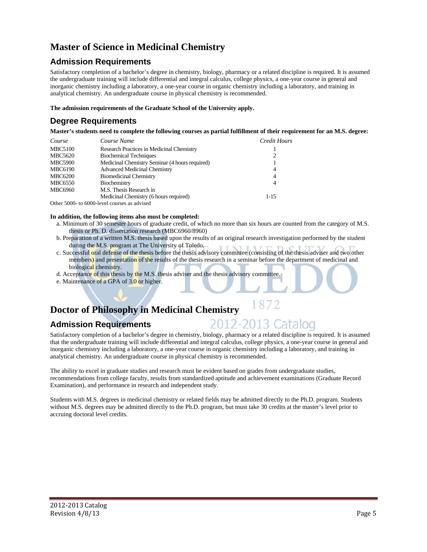# **Master of Science in Medicinal Chemistry**

# **Admission Requirements**

Satisfactory completion of a bachelor's degree in chemistry, biology, pharmacy or a related discipline is required. It is assumed the undergraduate training will include differential and integral calculus, college physics, a one-year course in general and inorganic chemistry including a laboratory, a one-year course in organic chemistry including a laboratory, and training in analytical chemistry. An undergraduate course in physical chemistry is recommended.

**The admission requirements of the Graduate School of the University apply.** 

# **Degree Requirements**

**Master's students need to complete the following courses as partial fulfillment of their requirement for an M.S. degree:** 

| Course         | Course Name                                    | Credit Hours   |
|----------------|------------------------------------------------|----------------|
| <b>MBC5100</b> | Research Practices in Medicinal Chemistry      |                |
| MBC5620        | <b>Biochemical Techniques</b>                  | 2              |
| <b>MBC5900</b> | Medicinal Chemistry Seminar (4 hours required) |                |
| <b>MBC6190</b> | <b>Advanced Medicinal Chemistry</b>            | $\overline{4}$ |
| <b>MBC6200</b> | <b>Biomedicinal Chemistry</b>                  | 4              |
| <b>MBC6550</b> | Biochemistry                                   | $\overline{4}$ |
| <b>MBC6960</b> | M.S. Thesis Research in                        |                |
|                | Medicinal Chemistry (6 hours required)         | $1 - 15$       |
| $\sim$ $\sim$  |                                                |                |

Other 5000- to 6000-level courses as advised

#### **In addition, the following items also must be completed:**

- a. Minimum of 30 semester hours of graduate credit, of which no more than six hours are counted from the category of M.S. thesis or Ph. D. dissertation research (MBC6960/8960)
- b. Preparation of a written M.S. thesis based upon the results of an original research investigation performed by the student during the M.S. program at The University of Toledo.
- c. Successful oral defense of the thesis before the thesis advisory committee (consisting of the thesis adviser and two other members) and presentation of the results of the thesis research in a seminar before the department of medicinal and biological chemistry.
- d. Acceptance of this thesis by the M.S. thesis adviser and the thesis advisory committee.

e. Maintenance of a GPA of 3.0 or higher.

# **Doctor of Philosophy in Medicinal Chemistry**

## **Admission Requirements**

Satisfactory completion of a bachelor's degree in chemistry, biology, pharmacy or a related discipline is required. It is assumed that the undergraduate training will include differential and integral calculus, college physics, a one-year course in general and inorganic chemistry including a laboratory, a one-year course in organic chemistry including a laboratory, and training in analytical chemistry. An undergraduate course in physical chemistry is recommended.

1872

2-2013 Catalog

The ability to excel in graduate studies and research must be evident based on grades from undergraduate studies, recommendations from college faculty, results from standardized aptitude and achievement examinations (Graduate Record Examination), and performance in research and independent study.

Students with M.S. degrees in medicinal chemistry or related fields may be admitted directly to the Ph.D. program. Students without M.S. degrees may be admitted directly to the Ph.D. program, but must take 30 credits at the master's level prior to accruing doctoral level credits.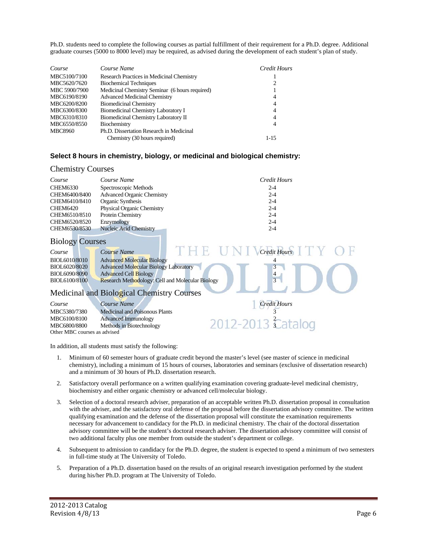Ph.D. students need to complete the following courses as partial fulfillment of their requirement for a Ph.D. degree. Additional graduate courses (5000 to 8000 level) may be required, as advised during the development of each student's plan of study.

| Course         | Course Name                                    | Credit Hours   |
|----------------|------------------------------------------------|----------------|
| MBC5100/7100   | Research Practices in Medicinal Chemistry      |                |
| MBC5620/7620   | <b>Biochemical Techniques</b>                  | 2              |
| MBC 5900/7900  | Medicinal Chemistry Seminar (6 hours required) |                |
| MBC6190/8190   | <b>Advanced Medicinal Chemistry</b>            | 4              |
| MBC6200/8200   | <b>Biomedicinal Chemistry</b>                  | 4              |
| MBC6300/8300   | Biomedicinal Chemistry Laboratory I            | $\overline{4}$ |
| MBC6310/8310   | Biomedicinal Chemistry Laboratory II           | $\overline{4}$ |
| MBC6550/8550   | Biochemistry                                   | 4              |
| <b>MBC8960</b> | Ph.D. Dissertation Research in Medicinal       |                |
|                | Chemistry (30 hours required)                  | $1 - 15$       |

#### **Select 8 hours in chemistry, biology, or medicinal and biological chemistry:**

#### Chemistry Courses

| Course          | Course Name                       | Credit Hours |
|-----------------|-----------------------------------|--------------|
| <b>CHEM6330</b> | Spectroscopic Methods             | $2 - 4$      |
| CHEM6400/8400   | <b>Advanced Organic Chemistry</b> | $2 - 4$      |
| CHEM6410/8410   | Organic Synthesis                 | $2 - 4$      |
| <b>CHEM6420</b> | <b>Physical Organic Chemistry</b> | $2 - 4$      |
| CHEM6510/8510   | Protein Chemistry                 | $2 - 4$      |
| CHEM6520/8520   | Enzymology                        | $2 - 4$      |
| CHEM6530/8530   | Nucleic Acid Chemistry            | $2 - 4$      |

#### Biology Courses

| Course        | Course Name                                      |  | <b>Credit Hours</b> |  |
|---------------|--------------------------------------------------|--|---------------------|--|
| BIOL6010/8010 | <b>Advanced Molecular Biology</b>                |  |                     |  |
| BIOL6020/8020 | <b>Advanced Molecular Biology Laboratory</b>     |  |                     |  |
| BIOL6090/8090 | Advanced Cell Biology                            |  | 4                   |  |
| BIOL6100/8100 | Research Methodology: Cell and Molecular Biology |  |                     |  |
|               |                                                  |  |                     |  |

### Medicinal and Biological Chemistry Courses

| Course                       | Course Name                           | <b>Credit Hours</b> |
|------------------------------|---------------------------------------|---------------------|
| MBC5380/7380                 | <b>Medicinal and Poisonous Plants</b> |                     |
| MBC6100/8100                 | <b>Advanced Immunology</b>            |                     |
| MBC6800/8800                 | Methods in Biotechnology              | $2012 - 2013$ cata  |
| Other MBC courses as advised |                                       |                     |

In addition, all students must satisfy the following:

- 1. Minimum of 60 semester hours of graduate credit beyond the master's level (see master of science in medicinal chemistry), including a minimum of 15 hours of courses, laboratories and seminars (exclusive of dissertation research) and a minimum of 30 hours of Ph.D. dissertation research.
- 2. Satisfactory overall performance on a written qualifying examination covering graduate-level medicinal chemistry, biochemistry and either organic chemistry or advanced cell/molecular biology.
- 3. Selection of a doctoral research adviser, preparation of an acceptable written Ph.D. dissertation proposal in consultation with the adviser, and the satisfactory oral defense of the proposal before the dissertation advisory committee. The written qualifying examination and the defense of the dissertation proposal will constitute the examination requirements necessary for advancement to candidacy for the Ph.D. in medicinal chemistry. The chair of the doctoral dissertation advisory committee will be the student's doctoral research adviser. The dissertation advisory committee will consist of two additional faculty plus one member from outside the student's department or college.
- 4. Subsequent to admission to candidacy for the Ph.D. degree, the student is expected to spend a minimum of two semesters in full-time study at The University of Toledo.
- 5. Preparation of a Ph.D. dissertation based on the results of an original research investigation performed by the student during his/her Ph.D. program at The University of Toledo.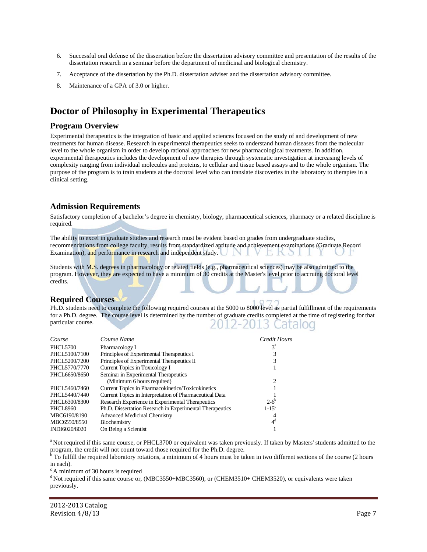- 6. Successful oral defense of the dissertation before the dissertation advisory committee and presentation of the results of the dissertation research in a seminar before the department of medicinal and biological chemistry.
- 7. Acceptance of the dissertation by the Ph.D. dissertation adviser and the dissertation advisory committee.
- 8. Maintenance of a GPA of 3.0 or higher.

# **Doctor of Philosophy in Experimental Therapeutics**

#### **Program Overview**

Experimental therapeutics is the integration of basic and applied sciences focused on the study of and development of new treatments for human disease. Research in experimental therapeutics seeks to understand human diseases from the molecular level to the whole organism in order to develop rational approaches for new pharmacological treatments. In addition, experimental therapeutics includes the development of new therapies through systematic investigation at increasing levels of complexity ranging from individual molecules and proteins, to cellular and tissue based assays and to the whole organism. The purpose of the program is to train students at the doctoral level who can translate discoveries in the laboratory to therapies in a clinical setting.

#### **Admission Requirements**

Satisfactory completion of a bachelor's degree in chemistry, biology, pharmaceutical sciences, pharmacy or a related discipline is required.

The ability to excel in graduate studies and research must be evident based on grades from undergraduate studies, recommendations from college faculty, results from standardized aptitude and achievement examinations (Graduate Record Examination), and performance in research and independent study. VEKSI

Students with M.S. degrees in pharmacology or related fields (e.g., pharmaceutical sciences) may be also admitted to the program. However, they are expected to have a minimum of 30 credits at the Master's level prior to accruing doctoral level credits.

#### **Required Courses**

Ph.D. students need to complete the following required courses at the 5000 to 8000 level as partial fulfillment of the requirements for a Ph.D. degree. The course level is determined by the number of graduate credits completed at the time of registering for that particular course. 12-2013 Catalog

| Course          | Course Name                                              | Credit Hours        |
|-----------------|----------------------------------------------------------|---------------------|
| <b>PHCL5700</b> | Pharmacology I                                           | $3^{\rm a}$         |
| PHCL5100/7100   | Principles of Experimental Therapeutics I                |                     |
| PHCL5200/7200   | Principles of Experimental Therapeutics II               | 3                   |
| PHCL5770/7770   | Current Topics in Toxicology I                           |                     |
| PHCL6650/8650   | Seminar in Experimental Therapeutics                     |                     |
|                 | (Minimum 6 hours required)                               | 2                   |
| PHCL5460/7460   | Current Topics in Pharmacokinetics/Toxicokinetics        |                     |
| PHCL5440/7440   | Current Topics in Interpretation of Pharmaceutical Data  |                     |
| PHCL6300/8300   | Research Experience in Experimental Therapeutics         | $2 - 6^{\circ}$     |
| <b>PHCL8960</b> | Ph.D. Dissertation Research in Experimental Therapeutics | $1-15$ <sup>c</sup> |
| MBC6190/8190    | <b>Advanced Medicinal Chemistry</b>                      | 4                   |
| MBC6550/8550    | Biochemistry                                             | 4 <sup>d</sup>      |
| INDI6020/8020   | On Being a Scientist                                     |                     |

<sup>a</sup> Not required if this same course, or PHCL3700 or equivalent was taken previously. If taken by Masters' students admitted to the

program, the credit will not count toward those required for the Ph.D. degree.<br><sup>b</sup> To fulfill the required laboratory rotations, a minimum of 4 hours must be taken in two different sections of the course (2 hours in each).

 $c$  A minimum of 30 hours is required

<sup>d</sup> Not required if this same course or, (MBC3550+MBC3560), or (CHEM3510+ CHEM3520), or equivalents were taken previously.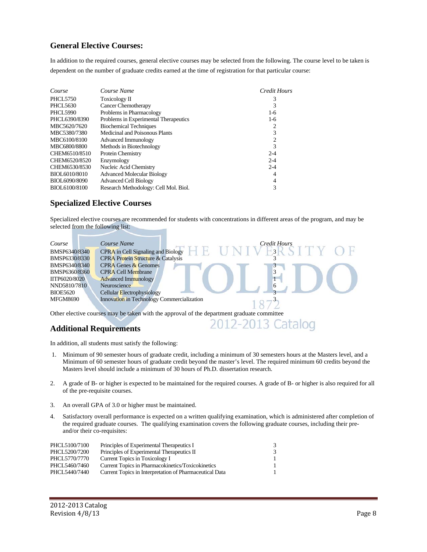# **General Elective Courses:**

In addition to the required courses, general elective courses may be selected from the following. The course level to be taken is dependent on the number of graduate credits earned at the time of registration for that particular course:

| Course          | Course Name                           | Credit Hours   |
|-----------------|---------------------------------------|----------------|
| <b>PHCL5750</b> | Toxicology II                         | 3              |
| PHCL5630        | <b>Cancer Chemotherapy</b>            | 3              |
| <b>PHCL5990</b> | Problems in Pharmacology              | 1-6            |
| PHCL6390/8390   | Problems in Experimental Therapeutics | $1-6$          |
| MBC5620/7620    | <b>Biochemical Techniques</b>         | 2              |
| MBC5380/7380    | Medicinal and Poisonous Plants        | 3              |
| MBC6100/8100    | Advanced Immunology                   | $\overline{c}$ |
| MBC6800/8800    | Methods in Biotechnology              | 3              |
| CHEM6510/8510   | <b>Protein Chemistry</b>              | $2 - 4$        |
| CHEM6520/8520   | Enzymology                            | $2 - 4$        |
| CHEM6530/8530   | Nucleic Acid Chemistry                | $2 - 4$        |
| BIOL6010/8010   | <b>Advanced Molecular Biology</b>     | 4              |
| BIOL6090/8090   | <b>Advanced Cell Biology</b>          | 4              |
| BIOL6100/8100   | Research Methodology: Cell Mol. Biol. | 3              |

### **Specialized Elective Courses**

Specialized elective courses are recommended for students with concentrations in different areas of the program, and may be selected from the following list:

| Course          | Course Name                                   |  | Credit Hours |  |
|-----------------|-----------------------------------------------|--|--------------|--|
| BMSP6340/8340   | CPRA in Cell Signaling and Biology            |  |              |  |
| BMSP6330/8330   | <b>CPRA Protein Structure &amp; Catalysis</b> |  |              |  |
| BMSP6340/8340   | <b>CPRA Genes &amp; Genomes</b>               |  |              |  |
| BMSP6360/8360   | <b>CPRA Cell Membrane</b>                     |  |              |  |
| IITP6020/8020   | <b>Advanced Immunology</b>                    |  |              |  |
| NND5810/7810    | Neuroscience                                  |  | 6            |  |
| <b>BIOE5620</b> | Cellular Electrophysiology                    |  |              |  |
| <b>MFGM8690</b> | Innovation in Technology Commercialization    |  |              |  |
|                 |                                               |  |              |  |

Other elective courses may be taken with the approval of the department graduate committee 2012-2013 Catalog

## **Additional Requirements**

In addition, all students must satisfy the following:

- 1. Minimum of 90 semester hours of graduate credit, including a minimum of 30 semesters hours at the Masters level, and a Minimum of 60 semester hours of graduate credit beyond the master's level. The required minimum 60 credits beyond the Masters level should include a minimum of 30 hours of Ph.D. dissertation research.
- 2. A grade of B- or higher is expected to be maintained for the required courses. A grade of B- or higher is also required for all of the pre-requisite courses.
- 3. An overall GPA of 3.0 or higher must be maintained.
- 4. Satisfactory overall performance is expected on a written qualifying examination, which is administered after completion of the required graduate courses. The qualifying examination covers the following graduate courses, including their preand/or their co-requisites:

| PHCL5100/7100 | Principles of Experimental Therapeutics I               | 3. |
|---------------|---------------------------------------------------------|----|
| PHCL5200/7200 | Principles of Experimental Therapeutics II              |    |
| PHCL5770/7770 | Current Topics in Toxicology I                          |    |
| PHCL5460/7460 | Current Topics in Pharmacokinetics/Toxicokinetics       |    |
| PHCL5440/7440 | Current Topics in Interpretation of Pharmaceutical Data |    |